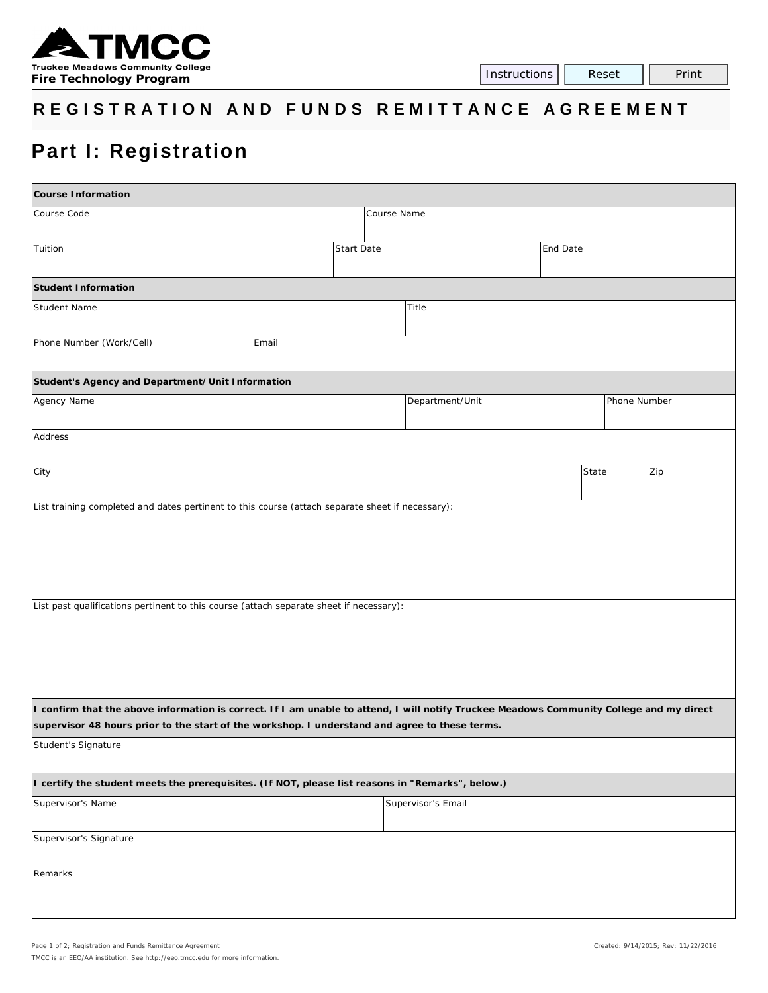

## **R EGISTRATION AND FUNDS REMITTANCE AGR EEMENT**

## **Part I: Registration**

| <b>Course Information</b>                                                                                                                                                                                                                  |       |                    |                   |                 |                 |       |              |  |  |  |  |  |
|--------------------------------------------------------------------------------------------------------------------------------------------------------------------------------------------------------------------------------------------|-------|--------------------|-------------------|-----------------|-----------------|-------|--------------|--|--|--|--|--|
| Course Code                                                                                                                                                                                                                                |       |                    | Course Name       |                 |                 |       |              |  |  |  |  |  |
|                                                                                                                                                                                                                                            |       |                    |                   |                 |                 |       |              |  |  |  |  |  |
| Tuition                                                                                                                                                                                                                                    |       |                    | <b>Start Date</b> |                 | <b>End Date</b> |       |              |  |  |  |  |  |
| <b>Student Information</b>                                                                                                                                                                                                                 |       |                    |                   |                 |                 |       |              |  |  |  |  |  |
| Student Name                                                                                                                                                                                                                               |       | Title              |                   |                 |                 |       |              |  |  |  |  |  |
| Phone Number (Work/Cell)                                                                                                                                                                                                                   | Email |                    |                   |                 |                 |       |              |  |  |  |  |  |
| Student's Agency and Department/Unit Information                                                                                                                                                                                           |       |                    |                   |                 |                 |       |              |  |  |  |  |  |
| Agency Name                                                                                                                                                                                                                                |       |                    |                   | Department/Unit |                 |       | Phone Number |  |  |  |  |  |
| Address                                                                                                                                                                                                                                    |       |                    |                   |                 |                 |       |              |  |  |  |  |  |
| City                                                                                                                                                                                                                                       |       |                    |                   |                 |                 | State | Zip          |  |  |  |  |  |
| List past qualifications pertinent to this course (attach separate sheet if necessary):                                                                                                                                                    |       |                    |                   |                 |                 |       |              |  |  |  |  |  |
| I confirm that the above information is correct. If I am unable to attend, I will notify Truckee Meadows Community College and my direct<br>supervisor 48 hours prior to the start of the workshop. I understand and agree to these terms. |       |                    |                   |                 |                 |       |              |  |  |  |  |  |
| Student's Signature                                                                                                                                                                                                                        |       |                    |                   |                 |                 |       |              |  |  |  |  |  |
| I certify the student meets the prerequisites. (If NOT, please list reasons in "Remarks", below.)                                                                                                                                          |       |                    |                   |                 |                 |       |              |  |  |  |  |  |
| Supervisor's Name                                                                                                                                                                                                                          |       | Supervisor's Email |                   |                 |                 |       |              |  |  |  |  |  |
| Supervisor's Signature                                                                                                                                                                                                                     |       |                    |                   |                 |                 |       |              |  |  |  |  |  |
| Remarks                                                                                                                                                                                                                                    |       |                    |                   |                 |                 |       |              |  |  |  |  |  |